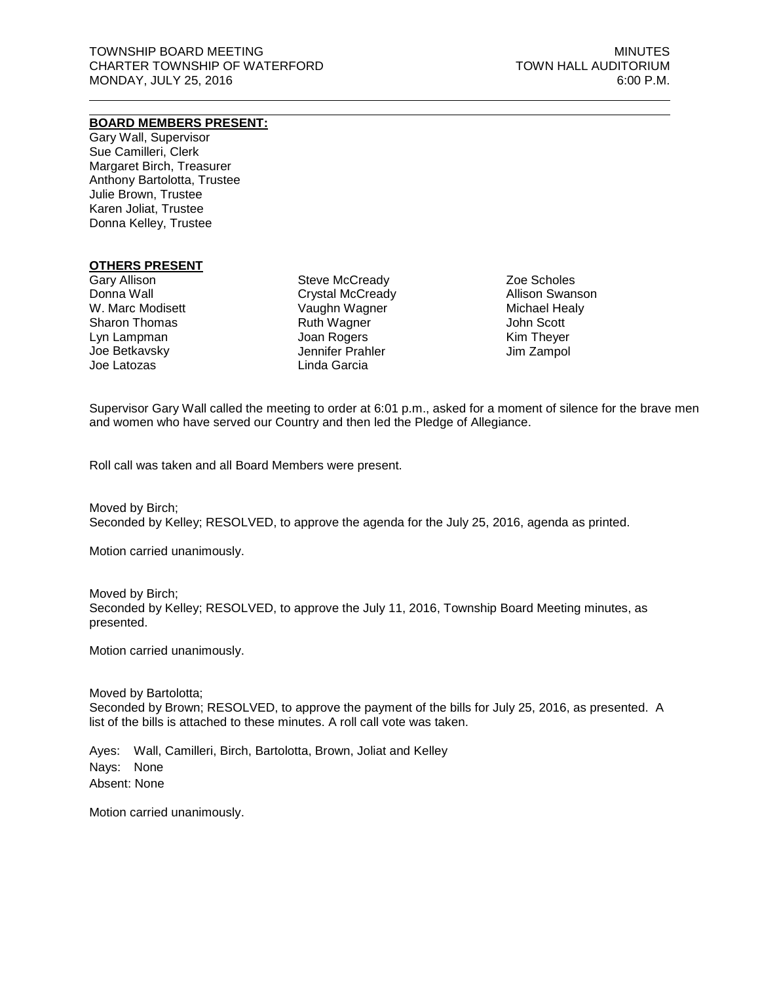## **BOARD MEMBERS PRESENT:**

Gary Wall, Supervisor Sue Camilleri, Clerk Margaret Birch, Treasurer Anthony Bartolotta, Trustee Julie Brown, Trustee Karen Joliat, Trustee Donna Kelley, Trustee

#### **OTHERS PRESENT**

Gary Allison Donna Wall W. Marc Modisett Sharon Thomas Lyn Lampman Joe Betkavsky Joe Latozas

Steve McCready Crystal McCready Vaughn Wagner Ruth Wagner Joan Rogers Jennifer Prahler Linda Garcia

Zoe Scholes Allison Swanson Michael Healy John Scott Kim Theyer Jim Zampol

Supervisor Gary Wall called the meeting to order at 6:01 p.m., asked for a moment of silence for the brave men and women who have served our Country and then led the Pledge of Allegiance.

Roll call was taken and all Board Members were present.

Moved by Birch; Seconded by Kelley; RESOLVED, to approve the agenda for the July 25, 2016, agenda as printed.

Motion carried unanimously.

Moved by Birch; Seconded by Kelley; RESOLVED, to approve the July 11, 2016, Township Board Meeting minutes, as presented.

Motion carried unanimously.

Moved by Bartolotta;

Seconded by Brown; RESOLVED, to approve the payment of the bills for July 25, 2016, as presented. A list of the bills is attached to these minutes. A roll call vote was taken.

Ayes: Wall, Camilleri, Birch, Bartolotta, Brown, Joliat and Kelley Nays: None Absent: None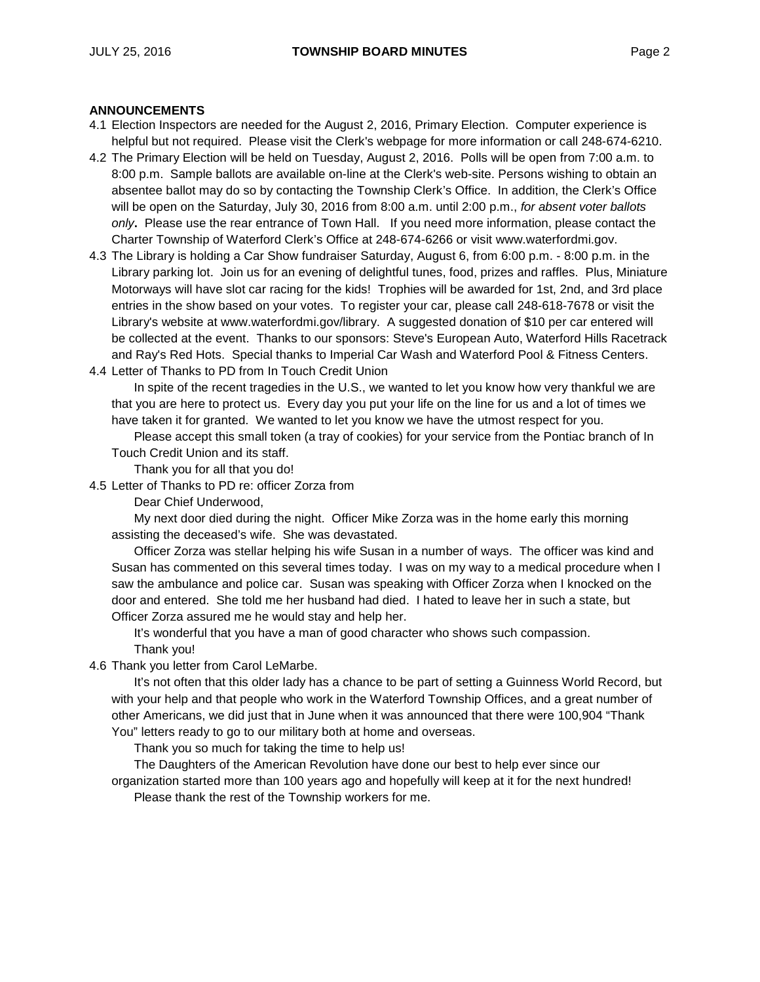#### **ANNOUNCEMENTS**

- 4.1 Election Inspectors are needed for the August 2, 2016, Primary Election. Computer experience is helpful but not required. Please visit the Clerk's [webpage](http://waterfordmi.gov/159/Election-Information) for more information or call 248-674-6210.
- 4.2 The Primary Election will be held on Tuesday, August 2, 2016. Polls will be open from 7:00 a.m. to 8:00 p.m. Sample ballots are available on-line at the Clerk's web-site. Persons wishing to obtain an absentee ballot may do so by contacting the Township Clerk's Office. In addition, the Clerk's Office will be open on the Saturday, July 30, 2016 from 8:00 a.m. until 2:00 p.m., *for absent voter ballots only***.** Please use the rear entrance of Town Hall. If you need more information, please contact the Charter Township of Waterford Clerk's Office at 248-674-6266 or visit [www.waterfordmi.gov.](http://www.waterfordmi.gov/)
- 4.3 The Library is holding a Car Show fundraiser Saturday, August 6, from 6:00 p.m. 8:00 p.m. in the Library parking lot. Join us for an evening of delightful tunes, food, prizes and raffles. Plus, Miniature Motorways will have slot car racing for the kids! Trophies will be awarded for 1st, 2nd, and 3rd place entries in the show based on your votes. To register your car, please call 248-618-7678 or visit the Library's website at www.waterfordmi.gov/library. A suggested donation of \$10 per car entered will be collected at the event. Thanks to our sponsors: Steve's European Auto, Waterford Hills Racetrack and Ray's Red Hots. Special thanks to Imperial Car Wash and Waterford Pool & Fitness Centers.
- 4.4 Letter of Thanks to PD from In Touch Credit Union

In spite of the recent tragedies in the U.S., we wanted to let you know how very thankful we are that you are here to protect us. Every day you put your life on the line for us and a lot of times we have taken it for granted. We wanted to let you know we have the utmost respect for you.

Please accept this small token (a tray of cookies) for your service from the Pontiac branch of In Touch Credit Union and its staff.

Thank you for all that you do!

4.5 Letter of Thanks to PD re: officer Zorza from

Dear Chief Underwood,

My next door died during the night. Officer Mike Zorza was in the home early this morning assisting the deceased's wife. She was devastated.

Officer Zorza was stellar helping his wife Susan in a number of ways. The officer was kind and Susan has commented on this several times today. I was on my way to a medical procedure when I saw the ambulance and police car. Susan was speaking with Officer Zorza when I knocked on the door and entered. She told me her husband had died. I hated to leave her in such a state, but Officer Zorza assured me he would stay and help her.

It's wonderful that you have a man of good character who shows such compassion. Thank you!

4.6 Thank you letter from Carol LeMarbe.

It's not often that this older lady has a chance to be part of setting a Guinness World Record, but with your help and that people who work in the Waterford Township Offices, and a great number of other Americans, we did just that in June when it was announced that there were 100,904 "Thank You" letters ready to go to our military both at home and overseas.

Thank you so much for taking the time to help us!

The Daughters of the American Revolution have done our best to help ever since our organization started more than 100 years ago and hopefully will keep at it for the next hundred!

Please thank the rest of the Township workers for me.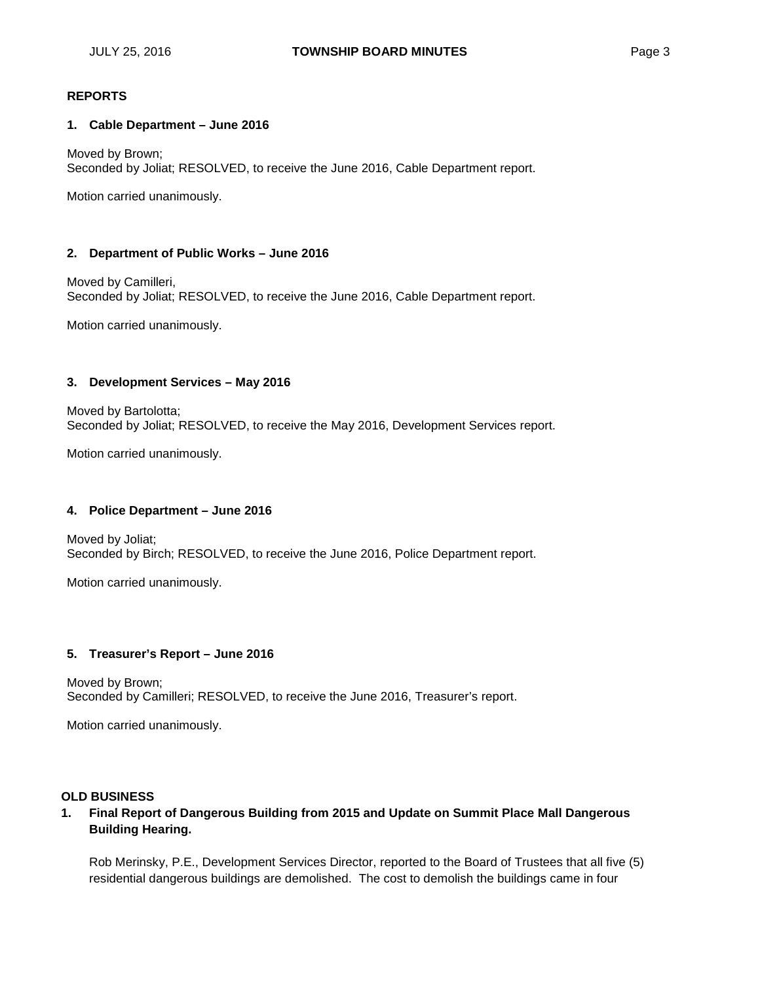### **REPORTS**

#### **1. Cable Department – June 2016**

Moved by Brown; Seconded by Joliat; RESOLVED, to receive the June 2016, Cable Department report.

Motion carried unanimously.

#### **2. Department of Public Works – June 2016**

Moved by Camilleri, Seconded by Joliat; RESOLVED, to receive the June 2016, Cable Department report.

Motion carried unanimously.

#### **3. Development Services – May 2016**

Moved by Bartolotta; Seconded by Joliat; RESOLVED, to receive the May 2016, Development Services report.

Motion carried unanimously.

#### **4. Police Department – June 2016**

Moved by Joliat; Seconded by Birch; RESOLVED, to receive the June 2016, Police Department report.

Motion carried unanimously.

#### **5. Treasurer's Report – June 2016**

Moved by Brown; Seconded by Camilleri; RESOLVED, to receive the June 2016, Treasurer's report.

Motion carried unanimously.

#### **OLD BUSINESS**

**1. Final Report of Dangerous Building from 2015 and Update on Summit Place Mall Dangerous Building Hearing.**

Rob Merinsky, P.E., Development Services Director, reported to the Board of Trustees that all five (5) residential dangerous buildings are demolished. The cost to demolish the buildings came in four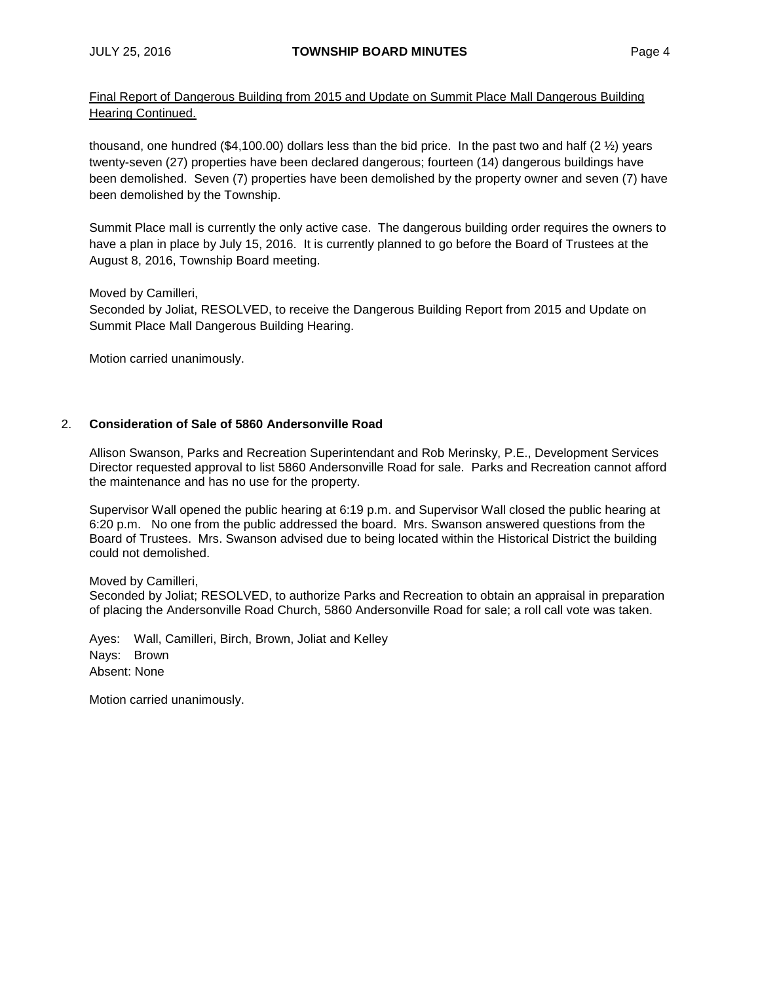Final Report of Dangerous Building from 2015 and Update on Summit Place Mall Dangerous Building Hearing Continued.

thousand, one hundred (\$4,100.00) dollars less than the bid price. In the past two and half (2 ½) years twenty-seven (27) properties have been declared dangerous; fourteen (14) dangerous buildings have been demolished. Seven (7) properties have been demolished by the property owner and seven (7) have been demolished by the Township.

Summit Place mall is currently the only active case. The dangerous building order requires the owners to have a plan in place by July 15, 2016. It is currently planned to go before the Board of Trustees at the August 8, 2016, Township Board meeting.

Moved by Camilleri,

Seconded by Joliat, RESOLVED, to receive the Dangerous Building Report from 2015 and Update on Summit Place Mall Dangerous Building Hearing.

Motion carried unanimously.

#### 2. **Consideration of Sale of 5860 Andersonville Road**

Allison Swanson, Parks and Recreation Superintendant and Rob Merinsky, P.E., Development Services Director requested approval to list 5860 Andersonville Road for sale. Parks and Recreation cannot afford the maintenance and has no use for the property.

Supervisor Wall opened the public hearing at 6:19 p.m. and Supervisor Wall closed the public hearing at 6:20 p.m. No one from the public addressed the board. Mrs. Swanson answered questions from the Board of Trustees. Mrs. Swanson advised due to being located within the Historical District the building could not demolished.

Moved by Camilleri,

Seconded by Joliat; RESOLVED, to authorize Parks and Recreation to obtain an appraisal in preparation of placing the Andersonville Road Church, 5860 Andersonville Road for sale; a roll call vote was taken.

Ayes: Wall, Camilleri, Birch, Brown, Joliat and Kelley Nays: Brown Absent: None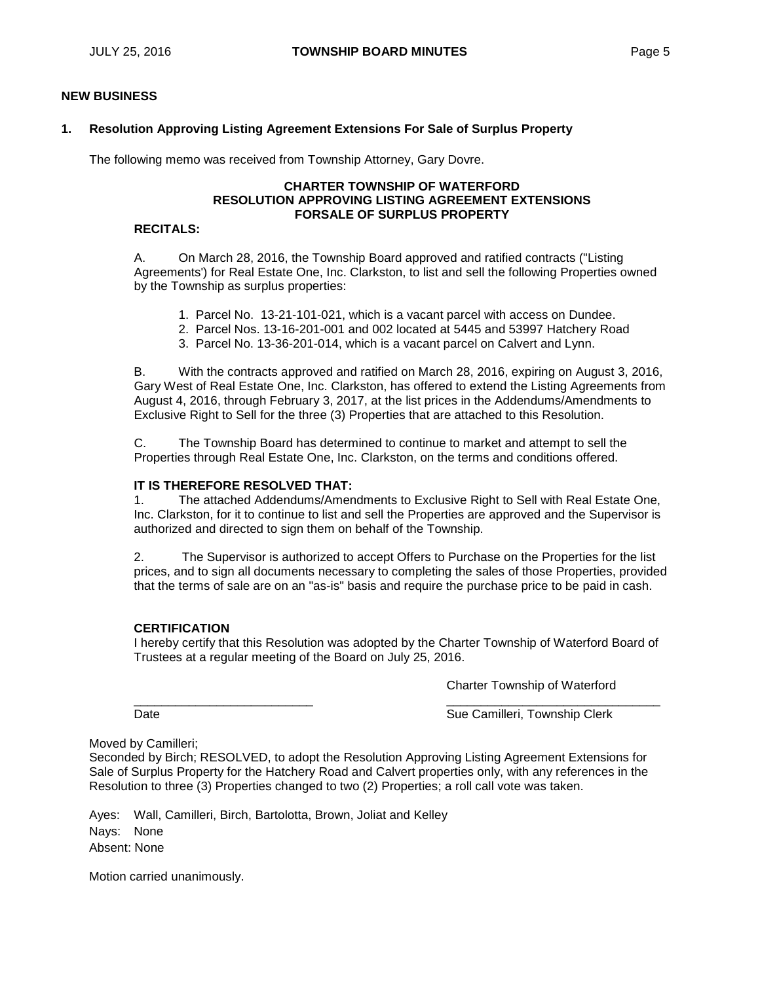### **NEW BUSINESS**

#### **1. Resolution Approving Listing Agreement Extensions For Sale of Surplus Property**

The following memo was received from Township Attorney, Gary Dovre.

#### **CHARTER TOWNSHIP OF WATERFORD RESOLUTION APPROVING LISTING AGREEMENT EXTENSIONS FORSALE OF SURPLUS PROPERTY**

#### **RECITALS:**

A. On March 28, 2016, the Township Board approved and ratified contracts ("Listing Agreements') for Real Estate One, Inc. Clarkston, to list and sell the following Properties owned by the Township as surplus properties:

- 1. Parcel No. 13-21-101-021, which is a vacant parcel with access on Dundee.
- 2. Parcel Nos. 13-16-201-001 and 002 located at 5445 and 53997 Hatchery Road
- 3. Parcel No. 13-36-201-014, which is a vacant parcel on Calvert and Lynn.

B. With the contracts approved and ratified on March 28, 2016, expiring on August 3, 2016, Gary West of Real Estate One, Inc. Clarkston, has offered to extend the Listing Agreements from August 4, 2016, through February 3, 2017, at the list prices in the Addendums/Amendments to Exclusive Right to Sell for the three (3) Properties that are attached to this Resolution.

C. The Township Board has determined to continue to market and attempt to sell the Properties through Real Estate One, Inc. Clarkston, on the terms and conditions offered.

#### **IT IS THEREFORE RESOLVED THAT:**

1. The attached Addendums/Amendments to Exclusive Right to Sell with Real Estate One, Inc. Clarkston, for it to continue to list and sell the Properties are approved and the Supervisor is authorized and directed to sign them on behalf of the Township.

2. The Supervisor is authorized to accept Offers to Purchase on the Properties for the list prices, and to sign all documents necessary to completing the sales of those Properties, provided that the terms of sale are on an "as-is" basis and require the purchase price to be paid in cash.

#### **CERTIFICATION**

I hereby certify that this Resolution was adopted by the Charter Township of Waterford Board of Trustees at a regular meeting of the Board on July 25, 2016.

Charter Township of Waterford

\_\_\_\_\_\_\_\_\_\_\_\_\_\_\_\_\_\_\_\_\_\_\_\_\_\_ \_\_\_\_\_\_\_\_\_\_\_\_\_\_\_\_\_\_\_\_\_\_\_\_\_\_\_\_\_\_\_

Date **Sue Camilleri, Township Clerk** Sue Camilleri, Township Clerk

Moved by Camilleri;

Seconded by Birch; RESOLVED, to adopt the Resolution Approving Listing Agreement Extensions for Sale of Surplus Property for the Hatchery Road and Calvert properties only, with any references in the Resolution to three (3) Properties changed to two (2) Properties; a roll call vote was taken.

Ayes: Wall, Camilleri, Birch, Bartolotta, Brown, Joliat and Kelley Nays: None Absent: None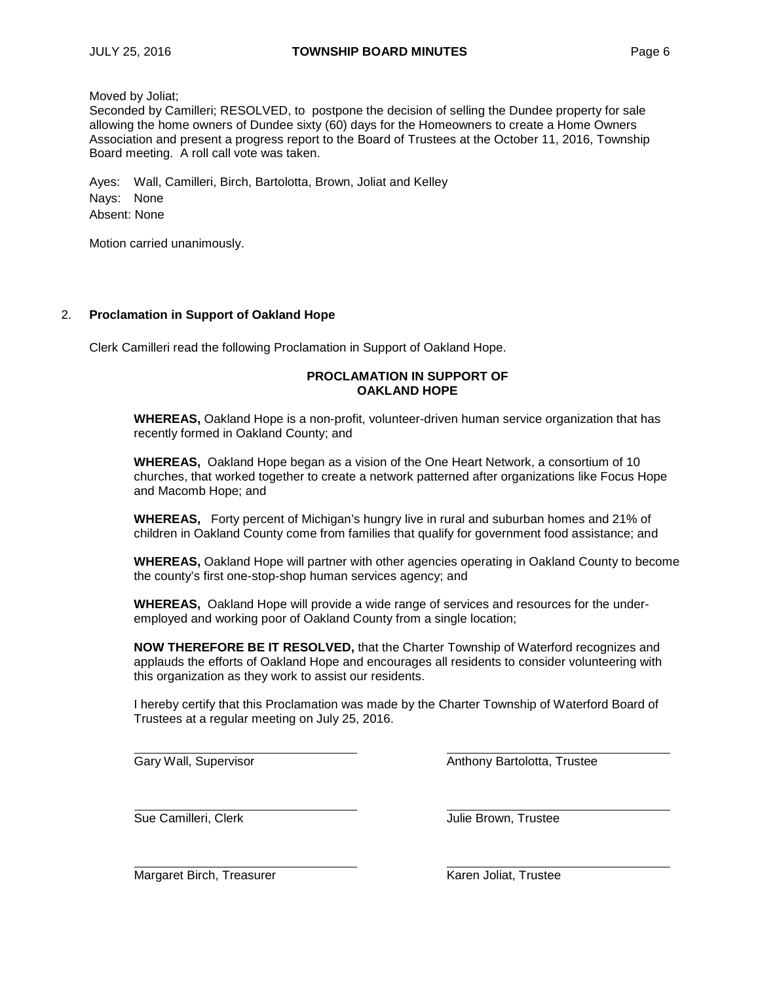#### Moved by Joliat;

Seconded by Camilleri; RESOLVED, to postpone the decision of selling the Dundee property for sale allowing the home owners of Dundee sixty (60) days for the Homeowners to create a Home Owners Association and present a progress report to the Board of Trustees at the October 11, 2016, Township Board meeting. A roll call vote was taken.

Ayes: Wall, Camilleri, Birch, Bartolotta, Brown, Joliat and Kelley Nays: None Absent: None

Motion carried unanimously.

### 2. **Proclamation in Support of Oakland Hope**

Clerk Camilleri read the following Proclamation in Support of Oakland Hope.

#### **PROCLAMATION IN SUPPORT OF OAKLAND HOPE**

**WHEREAS,** Oakland Hope is a non-profit, volunteer-driven human service organization that has recently formed in Oakland County; and

**WHEREAS,** Oakland Hope began as a vision of the One Heart Network, a consortium of 10 churches, that worked together to create a network patterned after organizations like Focus Hope and Macomb Hope; and

**WHEREAS,** Forty percent of Michigan's hungry live in rural and suburban homes and 21% of children in Oakland County come from families that qualify for government food assistance; and

**WHEREAS,** Oakland Hope will partner with other agencies operating in Oakland County to become the county's first one-stop-shop human services agency; and

**WHEREAS,** Oakland Hope will provide a wide range of services and resources for the underemployed and working poor of Oakland County from a single location;

**NOW THEREFORE BE IT RESOLVED,** that the Charter Township of Waterford recognizes and applauds the efforts of Oakland Hope and encourages all residents to consider volunteering with this organization as they work to assist our residents.

I hereby certify that this Proclamation was made by the Charter Township of Waterford Board of Trustees at a regular meeting on July 25, 2016.

Gary Wall, Supervisor **Anthony Bartolotta**, Trustee

Sue Camilleri, Clerk Julie Brown, Trustee

Margaret Birch, Treasurer Karen Joliat, Trustee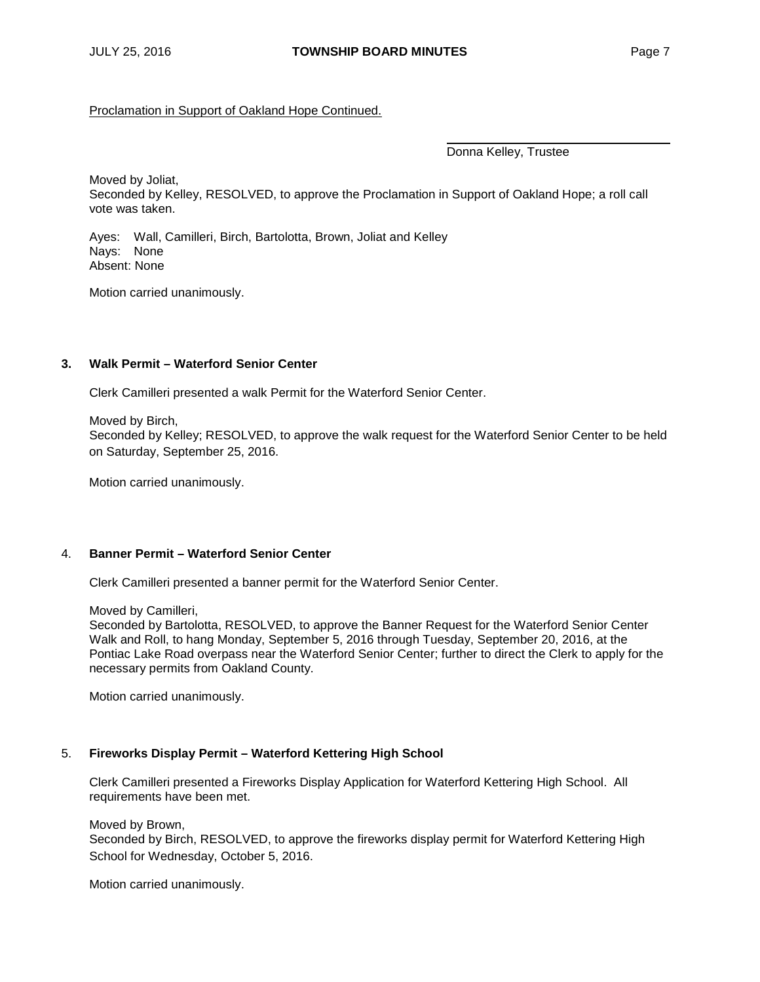Proclamation in Support of Oakland Hope Continued.

Donna Kelley, Trustee

Moved by Joliat,

Seconded by Kelley, RESOLVED, to approve the Proclamation in Support of Oakland Hope; a roll call vote was taken.

Ayes: Wall, Camilleri, Birch, Bartolotta, Brown, Joliat and Kelley Nays: None Absent: None

Motion carried unanimously.

#### **3. Walk Permit – Waterford Senior Center**

Clerk Camilleri presented a walk Permit for the Waterford Senior Center.

Moved by Birch,

Seconded by Kelley; RESOLVED, to approve the walk request for the Waterford Senior Center to be held on Saturday, September 25, 2016.

Motion carried unanimously.

#### 4. **Banner Permit – Waterford Senior Center**

Clerk Camilleri presented a banner permit for the Waterford Senior Center.

Moved by Camilleri,

Seconded by Bartolotta, RESOLVED, to approve the Banner Request for the Waterford Senior Center Walk and Roll, to hang Monday, September 5, 2016 through Tuesday, September 20, 2016, at the Pontiac Lake Road overpass near the Waterford Senior Center; further to direct the Clerk to apply for the necessary permits from Oakland County.

Motion carried unanimously.

# 5. **Fireworks Display Permit – Waterford Kettering High School**

Clerk Camilleri presented a Fireworks Display Application for Waterford Kettering High School. All requirements have been met.

Moved by Brown,

Seconded by Birch, RESOLVED, to approve the fireworks display permit for Waterford Kettering High School for Wednesday, October 5, 2016.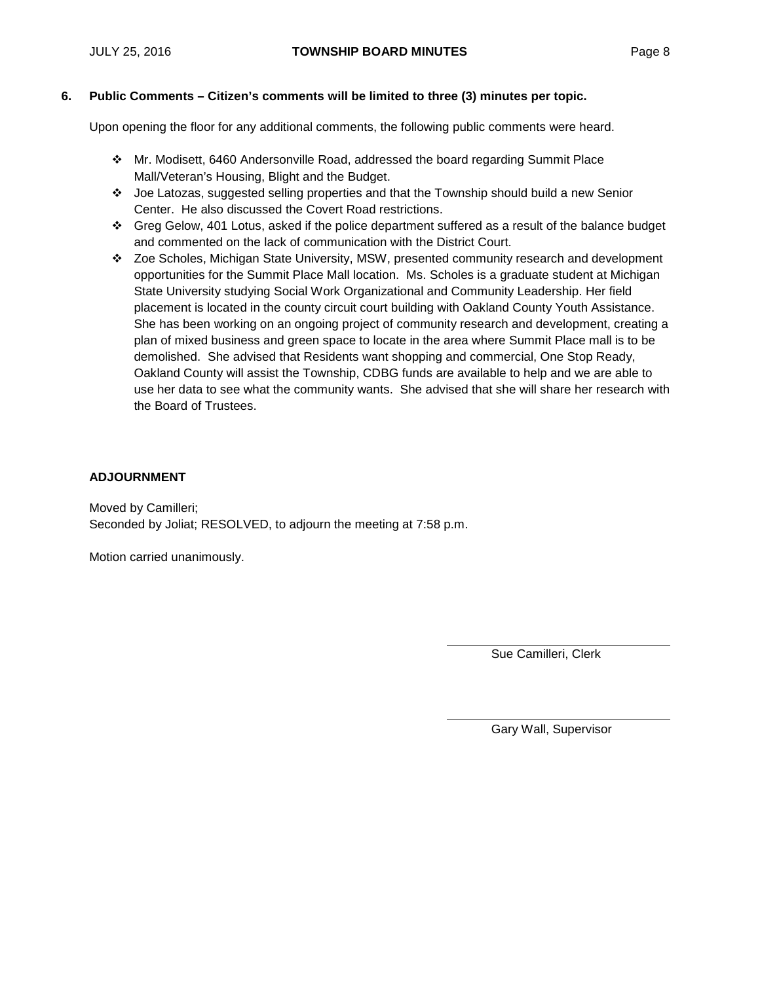### **6. Public Comments – Citizen's comments will be limited to three (3) minutes per topic.**

Upon opening the floor for any additional comments, the following public comments were heard.

- Mr. Modisett, 6460 Andersonville Road, addressed the board regarding Summit Place Mall/Veteran's Housing, Blight and the Budget.
- Joe Latozas, suggested selling properties and that the Township should build a new Senior Center. He also discussed the Covert Road restrictions.
- Greg Gelow, 401 Lotus, asked if the police department suffered as a result of the balance budget and commented on the lack of communication with the District Court.
- Zoe Scholes, Michigan State University, MSW, presented community research and development opportunities for the Summit Place Mall location. Ms. Scholes is a graduate student at Michigan State University studying Social Work Organizational and Community Leadership. Her field placement is located in the county circuit court building with Oakland County Youth Assistance. She has been working on an ongoing project of community research and development, creating a plan of mixed business and green space to locate in the area where Summit Place mall is to be demolished. She advised that Residents want shopping and commercial, One Stop Ready, Oakland County will assist the Township, CDBG funds are available to help and we are able to use her data to see what the community wants. She advised that she will share her research with the Board of Trustees.

#### **ADJOURNMENT**

Moved by Camilleri; Seconded by Joliat; RESOLVED, to adjourn the meeting at 7:58 p.m.

Motion carried unanimously.

Sue Camilleri, Clerk

Gary Wall, Supervisor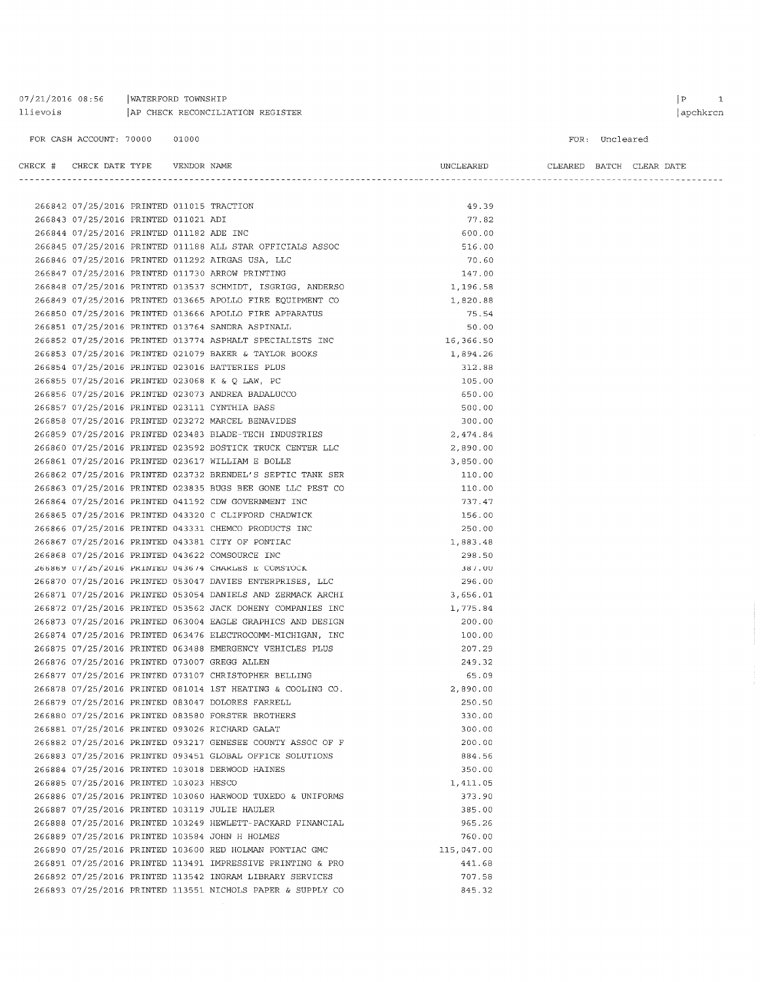#### 07/21/2016 08:56 WATERFORD TOWNSHIP llievois AP CHECK RECONCILIATION REGISTER

 $|P|$  1 lapchkrcn

#### FOR: Uncleared

#### CHECK # CHECK DATE TYPE VENDOR NAME UNCLEARED CLEARED BATCH CLEAR DATE 266842 07/25/2016 PRINTED 011015 TRACTION 49.39 266843 07/25/2016 PRINTED 011021 ADI 77.82 266844 07/25/2016 PRINTED 011182 ADE INC 600.00 266845 07/25/2016 PRINTED 011188 ALL STAR OFFICIALS ASSOC 516.00 266846 07/25/2016 PRINTED 011292 AIRGAS USA, LLC 70.60 266847 07/25/2016 PRINTED 011730 ARROW PRINTING 147.00 266848 07/25/2016 PRINTED 013537 SCHMIDT, ISGRIGG, ANDERSO 1.196.58 266849 07/25/2016 PRINTED 013665 APOLLO FIRE EQUIPMENT CO 1,820.88 266850 07/25/2016 PRINTED 013666 APOLLO FIRE APPARATUS 75.54 266851 07/25/2016 PRINTED 013764 SANDRA ASPINALL  $50.00$ 266852 07/25/2016 PRINTED 013774 ASPHALT SPECIALISTS INC 16,366.50 266853 07/25/2016 PRINTED 021079 BAKER & TAYLOR BOOKS 1.894.26 266854 07/25/2016 PRINTED 023016 BATTERIES PLUS 312.88 266855 07/25/2016 PRINTED 023068 K & Q LAW, PC 105.00 266856 07/25/2016 PRINTED 023073 ANDREA BADALUCCO 650.00 266857 07/25/2016 PRINTED 023111 CYNTHIA BASS 500.00 266858 07/25/2016 PRINTED 023272 MARCEL BENAVIDES 300.00 266859 07/25/2016 PRINTED 023483 BLADE-TECH INDUSTRIES 2.474.84 266860 07/25/2016 PRINTED 023592 BOSTICK TRUCK CENTER LLC 2,890.00 266861 07/25/2016 PRINTED 023617 WILLIAM E BOLLE 3,850.00 266862 07/25/2016 PRINTED 023732 BRENDEL'S SEPTIC TANK SER 110.00 266863 07/25/2016 PRINTED 023835 BUGS BEE GONE LLC PEST CO 110.00 266864 07/25/2016 PRINTED 041192 CDW GOVERNMENT INC 737.47 266865 07/25/2016 PRINTED 043320 C CLIFFORD CHADWICK 156.00 266866 07/25/2016 PRINTED 043331 CHEMCO PRODUCTS INC 250.00 266867 07/25/2016 PRINTED 043381 CITY OF PONTIAC 1.883.48 266868 07/25/2016 PRINTED 043622 COMSOURCE INC 298.50 266869 07/25/2016 PRINTED 043674 CHARLES E COMSTOCK 387.00 266870 07/25/2016 PRINTED 053047 DAVIES ENTERPRISES, LLC 296.00 266871 07/25/2016 PRINTED 053054 DANIELS AND ZERMACK ARCHI 3,656.01 266872 07/25/2016 PRINTED 053562 JACK DOHENY COMPANIES INC 1,775.84 266873 07/25/2016 PRINTED 063004 EAGLE GRAPHICS AND DESIGN 200.00 266874 07/25/2016 PRINTED 063476 ELECTROCOMM-MICHIGAN, INC 100.00 266875 07/25/2016 PRINTED 063488 EMERGENCY VEHICLES PLUS 207.29 266876 07/25/2016 PRINTED 073007 GREGG ALLEN 249.32 266877 07/25/2016 PRINTED 073107 CHRISTOPHER BELLING 65.09 266878 07/25/2016 PRINTED 081014 1ST HEATING & COOLING CO. 2,890.00 266879 07/25/2016 PRINTED 083047 DOLORES FARRELL 250.50 266880 07/25/2016 PRINTED 083580 FORSTER BROTHERS 330.00 266881 07/25/2016 PRINTED 093026 RICHARD GALAT 300.00 266882 07/25/2016 PRINTED 093217 GENESEE COUNTY ASSOC OF F 200.00 266883 07/25/2016 PRINTED 093451 GLOBAL OFFICE SOLUTIONS 884.56 266884 07/25/2016 PRINTED 103018 DERWOOD HAINES 350.00 266885 07/25/2016 PRINTED 103023 HESCO 1,411.05 266886 07/25/2016 PRINTED 103060 HARWOOD TUXEDO & UNIFORMS 373.90 266887 07/25/2016 PRINTED 103119 JULIE HAULER 385.00 266888 07/25/2016 PRINTED 103249 HEWLETT-PACKARD FINANCIAL 965 26 266889 07/25/2016 PRINTED 103584 JOHN H HOLMES 760.00 266890 07/25/2016 PRINTED 103600 RED HOLMAN PONTIAC GMC 115,047.00 266891 07/25/2016 PRINTED 113491 IMPRESSIVE PRINTING & PRO 441.68 266892 07/25/2016 PRINTED 113542 INGRAM LIBRARY SERVICES 707.58 266893 07/25/2016 PRINTED 113551 NICHOLS PAPER & SUPPLY CO 845.32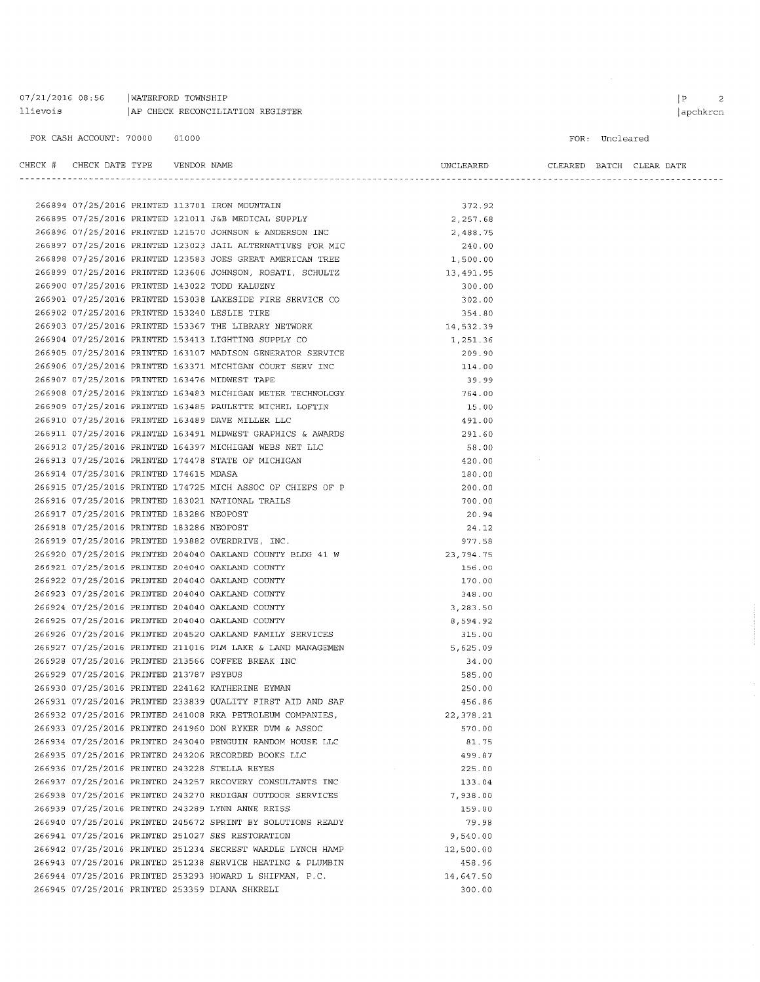#### 07/21/2016 08:56 | WATERFORD TOWNSHIP llievois | AP CHECK RECONCILIATION REGISTER

#### FOR CASH ACCOUNT: 70000 01000

 $\begin{tabular}{lllllll} \bf CHECK & \tt & \tt CHECK & \tt DATE & \tt YYPE & \tt & \tt VENDOR & \tt NAME \end{tabular}$ 

FOR: Uncleared

CLEARED BATCH CLEAR DATE

UNCLEARED

| 266894 07/25/2016 PRINTED 113701 IRON MOUNTAIN                                                                                                                                | 372.92          |  |
|-------------------------------------------------------------------------------------------------------------------------------------------------------------------------------|-----------------|--|
| 266895 07/25/2016 PRINTED 121011 J&B MEDICAL SUPPLY                                                                                                                           | 2,257.68        |  |
| 266896 07/25/2016 PRINTED 121570 JOHNSON & ANDERSON INC                                                                                                                       | 2,488.75        |  |
| 266897 07/25/2016 PRINTED 123023 JAIL ALTERNATIVES FOR MIC                                                                                                                    | 240.00          |  |
| 266898 07/25/2016 PRINTED 123583 JOES GREAT AMERICAN TREE 1,500.00                                                                                                            |                 |  |
| 266899 07/25/2016 PRINTED 123606 JOHNSON, ROSATI, SCHULTZ                                                                                                                     | 13,491.95       |  |
| 266900 07/25/2016 PRINTED 143022 TODD KALUZNY                                                                                                                                 | 300.00          |  |
| 266901 07/25/2016 PRINTED 153038 LAKESIDE FIRE SERVICE CO                                                                                                                     | 302.00          |  |
| 266902 07/25/2016 PRINTED 153240 LESLIE TIRE                                                                                                                                  | 354.80          |  |
| 266903 07/25/2016 PRINTED 153367 THE LIBRARY NETWORK                                                                                                                          | 14,532.39       |  |
| 266904 07/25/2016 PRINTED 153413 LIGHTING SUPPLY CO                                                                                                                           | 1,251.36        |  |
| 266905 07/25/2016 PRINTED 163107 MADISON GENERATOR SERVICE                                                                                                                    | 209.90          |  |
| 266906 07/25/2016 PRINTED 163371 MICHIGAN COURT SERV INC                                                                                                                      | 114.00          |  |
| 266907 07/25/2016 PRINTED 163476 MIDWEST TAPE                                                                                                                                 | 39.99           |  |
| 266908 07/25/2016 PRINTED 163483 MICHIGAN METER TECHNOLOGY                                                                                                                    | 764.00          |  |
| 266909 07/25/2016 PRINTED 163485 PAULETTE MICHEL LOFTIN                                                                                                                       | 15.00           |  |
| 266910 07/25/2016 PRINTED 163489 DAVE MILLER LLC                                                                                                                              | 491.00          |  |
|                                                                                                                                                                               |                 |  |
| 266911 07/25/2016 PRINTED 163491 MIDWEST GRAPHICS & AWARDS<br>266912 07/25/2016 PRINTED 164397 MICHIGAN WEBS NET LLC                                                          | 291.60<br>58.00 |  |
| 266913 07/25/2016 PRINTED 174478 STATE OF MICHIGAN                                                                                                                            |                 |  |
|                                                                                                                                                                               | 420.00          |  |
| 266914 07/25/2016 PRINTED 174615 MDASA                                                                                                                                        | 180.00          |  |
| 266915 07/25/2016 PRINTED 174725 MICH ASSOC OF CHIEFS OF P                                                                                                                    | 200.00          |  |
| 266916 07/25/2016 PRINTED 183021 NATIONAL TRAILS                                                                                                                              | 700.00          |  |
| 266917 07/25/2016 PRINTED 183286 NEOPOST                                                                                                                                      | 20.94           |  |
| 266918 07/25/2016 PRINTED 183286 NEOPOST                                                                                                                                      | 24.12           |  |
| 266919 07/25/2016 PRINTED 193882 OVERDRIVE, INC.                                                                                                                              | 977.58          |  |
| 266920 07/25/2016 PRINTED 204040 OAKLAND COUNTY BLDG 41 W                                                                                                                     | 23,794.75       |  |
| 266921 07/25/2016 PRINTED 204040 OAKLAND COUNTY                                                                                                                               | 156.00          |  |
| 266922 07/25/2016 PRINTED 204040 OAKLAND COUNTY                                                                                                                               | 170.00          |  |
| 266923 07/25/2016 PRINTED 204040 OAKLAND COUNTY                                                                                                                               | 348.00          |  |
| 266924 07/25/2016 PRINTED 204040 OAKLAND COUNTY                                                                                                                               | 3,283.50        |  |
| 266925 07/25/2016 PRINTED 204040 OAKLAND COUNTY                                                                                                                               | 8,594.92        |  |
| 266926 07/25/2016 PRINTED 204520 OAKLAND FAMILY SERVICES                                                                                                                      | 315.00          |  |
| 266927 07/25/2016 PRINTED 211016 PLM LAKE & LAND MANAGEMEN<br>266927 07/25/2016 PRINTED 211016 PLM LAKE & LAND MANAGEMEN<br>266939 07/25/2016 PRINTED 212566 COEPER BREAK INC | 5,625.09        |  |
| 266928 07/25/2016 PRINTED 213566 COFFEE BREAK INC                                                                                                                             | 34.00           |  |
| 266929 07/25/2016 PRINTED 213787 PSYBUS                                                                                                                                       | 585.00          |  |
| 266930 07/25/2016 PRINTED 224162 KATHERINE EYMAN                                                                                                                              | 250.00          |  |
| 266931 07/25/2016 PRINTED 233839 QUALITY FIRST AID AND SAF                                                                                                                    | 456.86          |  |
| 266932 07/25/2016 PRINTED 241008 RKA PETROLEUM COMPANIES,                                                                                                                     | 22, 378.21      |  |
| 266933 07/25/2016 PRINTED 241960 DON RYKER DVM & ASSOC                                                                                                                        | 570.00          |  |
| 266934 07/25/2016 PRINTED 243040 PENGUIN RANDOM HOUSE LLC                                                                                                                     | 81.75           |  |
| 266935 07/25/2016 PRINTED 243206 RECORDED BOOKS LLC                                                                                                                           | 499.87          |  |
| 266936 07/25/2016 PRINTED 243228 STELLA REYES                                                                                                                                 | 225.00          |  |
| 266937 07/25/2016 PRINTED 243257 RECOVERY CONSULTANTS INC                                                                                                                     | 133.04          |  |
| 266938 07/25/2016 PRINTED 243270 REDIGAN OUTDOOR SERVICES                                                                                                                     | 7,938.00        |  |
| 266939 07/25/2016 PRINTED 243289 LYNN ANNE REISS                                                                                                                              | 159.00          |  |
| 266940 07/25/2016 PRINTED 245672 SPRINT BY SOLUTIONS READY                                                                                                                    | 79.98           |  |
| 266941 07/25/2016 PRINTED 251027 SES RESTORATION                                                                                                                              | 9,540.00        |  |
| 266942 07/25/2016 PRINTED 251234 SECREST WARDLE LYNCH HAMP                                                                                                                    | 12,500.00       |  |
| 266943 07/25/2016 PRINTED 251238 SERVICE HEATING & PLUMBIN                                                                                                                    | 458.96          |  |
| 266944 07/25/2016 PRINTED 253293 HOWARD L SHIFMAN, P.C.                                                                                                                       | 14,647.50       |  |
| 266945 07/25/2016 PRINTED 253359 DIANA SHKRELI                                                                                                                                | 300.00          |  |

 $\begin{array}{ccc} \mid P & \mid & 2 \end{array}$ apchkrcn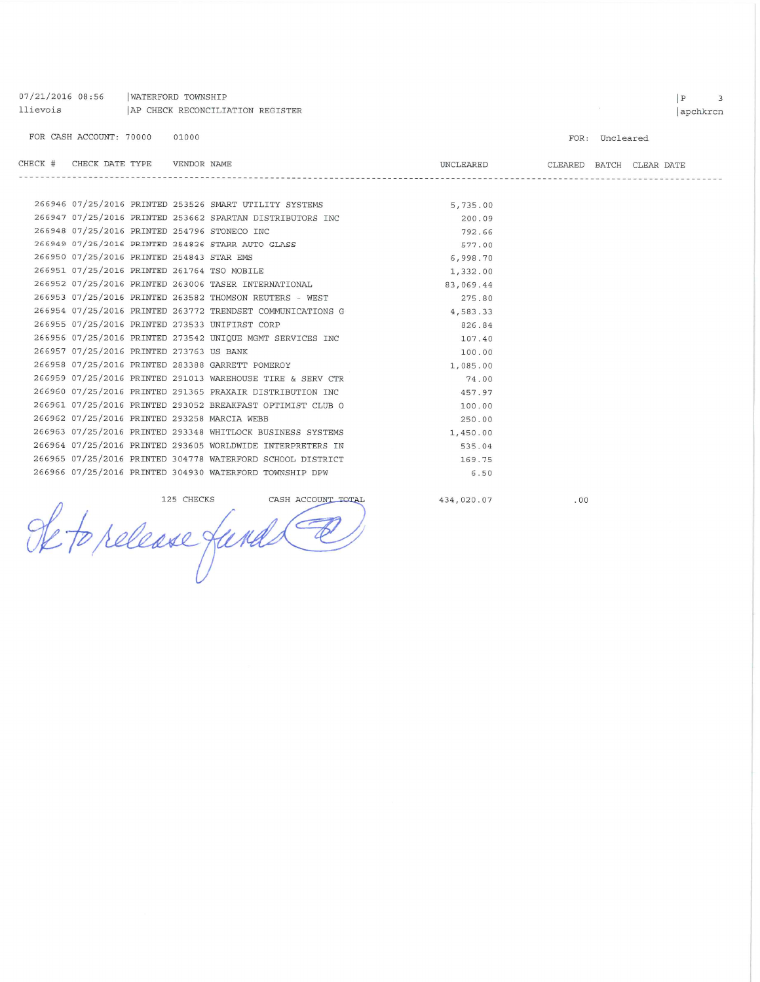07/21/2016 08:56 | WATERFORD TOWNSHIP llievois | AP CHECK RECONCILIATION REGISTER

FOR CASH ACCOUNT: 70000 01000

FOR: Uncleared

--------------------------------

CHECK # CHECK DATE TYPE VENDOR NAME 

CLEARED BATCH CLEAR DATE

|  |                                             |  | 266946 07/25/2016 PRINTED 253526 SMART UTILITY SYSTEMS     | 5,735.00  |
|--|---------------------------------------------|--|------------------------------------------------------------|-----------|
|  |                                             |  | 266947 07/25/2016 PRINTED 253662 SPARTAN DISTRIBUTORS INC  | 200.09    |
|  |                                             |  | 266948 07/25/2016 PRINTED 254796 STONECO INC               | 792.66    |
|  |                                             |  | 266949 07/25/2016 PRINTED 254826 STARR AUTO GLASS          | 577.00    |
|  | 266950 07/25/2016 PRINTED 254843 STAR EMS   |  |                                                            | 6,998.70  |
|  | 266951 07/25/2016 PRINTED 261764 TSO MOBILE |  |                                                            | 1,332.00  |
|  |                                             |  | 266952 07/25/2016 PRINTED 263006 TASER INTERNATIONAL       | 83,069.44 |
|  |                                             |  | 266953 07/25/2016 PRINTED 263582 THOMSON REUTERS - WEST    | 275.80    |
|  |                                             |  | 266954 07/25/2016 PRINTED 263772 TRENDSET COMMUNICATIONS G | 4,583.33  |
|  |                                             |  | 266955 07/25/2016 PRINTED 273533 UNIFIRST CORP             | 826.84    |
|  |                                             |  | 266956 07/25/2016 PRINTED 273542 UNIQUE MGMT SERVICES INC  | 107.40    |
|  | 266957 07/25/2016 PRINTED 273763 US BANK    |  |                                                            | 100.00    |
|  |                                             |  | 266958 07/25/2016 PRINTED 283388 GARRETT POMEROY           | 1,085.00  |
|  |                                             |  | 266959 07/25/2016 PRINTED 291013 WAREHOUSE TIRE & SERV CTR | 74.00     |
|  |                                             |  | 266960 07/25/2016 PRINTED 291365 PRAXAIR DISTRIBUTION INC  | 457.97    |
|  |                                             |  | 266961 07/25/2016 PRINTED 293052 BREAKFAST OPTIMIST CLUB O | 100.00    |
|  |                                             |  | 266962 07/25/2016 PRINTED 293258 MARCIA WEBB               | 250.00    |
|  |                                             |  | 266963 07/25/2016 PRINTED 293348 WHITLOCK BUSINESS SYSTEMS | 1,450.00  |
|  |                                             |  | 266964 07/25/2016 PRINTED 293605 WORLDWIDE INTERPRETERS IN | 535.04    |
|  |                                             |  | 266965 07/25/2016 PRINTED 304778 WATERFORD SCHOOL DISTRICT | 169.75    |
|  |                                             |  | 266966 07/25/2016 PRINTED 304930 WATERFORD TOWNSHIP DPW    | 6.50      |
|  |                                             |  |                                                            |           |

125 CHECKS If to release funds

CASH ACCOUNT TOTAL

434,020.07

 $.00$ 

 $\begin{array}{ccc} \n & \text{P} & \text{3} \\
& \text{3} & \text{4} \\
\end{array}$ apchkrcn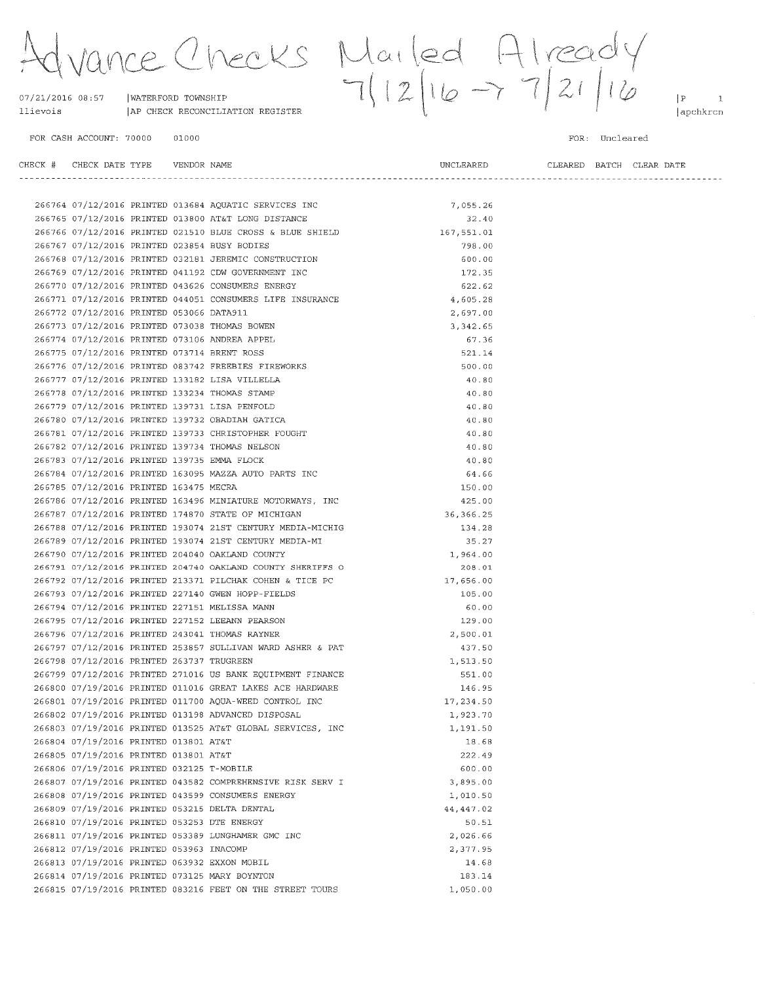Inne

WATERFORD TOWNSHIP

AP CHECK RECONCILIATION REGISTER

VENDOR NAME

 $\frac{7 \text{mecks}}{7(12)(16-7721)16}$ 

UNCLEARED

 $\begin{array}{ccc} \mid & \mathbf{P} & \mathbf{I} \end{array}$ apchkrcn

FOR CASH ACCOUNT: 70000 01000

CHECK  $#$  CHECK DATE TYPE

 $07/21/2016$  08:57

llievois

FOR: Uncleared

CLEARED BATCH CLEAR DATE

|  |                                             |  | 266764 07/12/2016 PRINTED 013684 AQUATIC SERVICES INC                                                      | 7,055.26   |  |
|--|---------------------------------------------|--|------------------------------------------------------------------------------------------------------------|------------|--|
|  |                                             |  | 266765 07/12/2016 PRINTED 013800 AT&T LONG DISTANCE                                                        | 32.40      |  |
|  |                                             |  | 266766 07/12/2016 PRINTED 021510 BLUE CROSS & BLUE SHIELD                                                  | 167,551.01 |  |
|  |                                             |  | 266767 07/12/2016 PRINTED 023854 BUSY BODIES                                                               | 798.00     |  |
|  |                                             |  | 266768 07/12/2016 PRINTED 032181 JEREMIC CONSTRUCTION                                                      | 600.00     |  |
|  |                                             |  | 266769 07/12/2016 PRINTED 041192 CDW GOVERNMENT INC                                                        | 172.35     |  |
|  |                                             |  | 266770 07/12/2016 PRINTED 043626 CONSUMERS ENERGY                                                          | 622.62     |  |
|  |                                             |  | 266771 07/12/2016 PRINTED 044051 CONSUMERS LIFE INSURANCE                                                  | 4,605.28   |  |
|  | 266772 07/12/2016 PRINTED 053066 DATA911    |  |                                                                                                            | 2,697.00   |  |
|  |                                             |  | 266773 07/12/2016 PRINTED 073038 THOMAS BOWEN                                                              | 3,342.65   |  |
|  |                                             |  | 266774 07/12/2016 PRINTED 073106 ANDREA APPEL                                                              | 67.36      |  |
|  |                                             |  | 266775 07/12/2016 PRINTED 073714 BRENT ROSS                                                                | 521.14     |  |
|  |                                             |  | 266776 07/12/2016 PRINTED 083742 FREEBIES FIREWORKS<br>266777 07/12/2016 PRINTED 083742 FREEBIES FIREWORKS | 500.00     |  |
|  |                                             |  | 266777 07/12/2016 PRINTED 133182 LISA VILLELLA                                                             | 40.80      |  |
|  |                                             |  | 266778 07/12/2016 PRINTED 133234 THOMAS STAMP                                                              | 40.80      |  |
|  |                                             |  | 266779 07/12/2016 PRINTED 139731 LISA PENFOLD                                                              | 40.80      |  |
|  |                                             |  | 266780 07/12/2016 PRINTED 139732 OBADIAH GATICA                                                            | 40.80      |  |
|  |                                             |  | 266781 07/12/2016 PRINTED 139733 CHRISTOPHER FOUGHT                                                        | 40.80      |  |
|  |                                             |  | 266782 07/12/2016 PRINTED 139734 THOMAS NELSON                                                             | 40.80      |  |
|  |                                             |  | 266783 07/12/2016 PRINTED 139735 EMMA FLOCK                                                                | 40.80      |  |
|  |                                             |  | 266784 07/12/2016 PRINTED 163095 MAZZA AUTO PARTS INC                                                      | 64.66      |  |
|  | 266785 07/12/2016 PRINTED 163475 MECRA      |  |                                                                                                            | 150.00     |  |
|  |                                             |  | 266786 07/12/2016 PRINTED 163496 MINIATURE MOTORWAYS, INC                                                  | 425.00     |  |
|  |                                             |  | 266787 07/12/2016 PRINTED 174870 STATE OF MICHIGAN                                                         | 36,366.25  |  |
|  |                                             |  | 266788 07/12/2016 PRINTED 193074 21ST CENTURY MEDIA-MICHIG                                                 | 134.28     |  |
|  |                                             |  | 266789 07/12/2016 PRINTED 193074 21ST CENTURY MEDIA-MI                                                     | 35.27      |  |
|  |                                             |  | 266790 07/12/2016 PRINTED 204040 OAKLAND COUNTY                                                            | 1,964.00   |  |
|  |                                             |  | 266791 07/12/2016 PRINTED 204740 OAKLAND COUNTY SHERIFFS O                                                 | 208.01     |  |
|  |                                             |  | 266792 07/12/2016 PRINTED 213371 PILCHAK COHEN & TICE PC                                                   | 17,656.00  |  |
|  |                                             |  | 266793 07/12/2016 PRINTED 227140 GWEN HOPP-FIELDS                                                          | 105.00     |  |
|  |                                             |  | 266794 07/12/2016 PRINTED 227151 MELISSA MANN                                                              | 60.00      |  |
|  |                                             |  | 266795 07/12/2016 PRINTED 227152 LEEANN PEARSON                                                            | 129.00     |  |
|  |                                             |  | 266796 07/12/2016 PRINTED 243041 THOMAS RAYNER                                                             | 2,500.01   |  |
|  |                                             |  | 266797 07/12/2016 PRINTED 253857 SULLIVAN WARD ASHER & PAT                                                 | 437.50     |  |
|  | 266798 07/12/2016 PRINTED 263737 TRUGREEN   |  |                                                                                                            | 1,513.50   |  |
|  |                                             |  | 266799 07/12/2016 PRINTED 271016 US BANK EQUIPMENT FINANCE                                                 | 551.00     |  |
|  |                                             |  | 266800 07/19/2016 PRINTED 011016 GREAT LAKES ACE HARDWARE                                                  | 146.95     |  |
|  |                                             |  | 266801 07/19/2016 PRINTED 011700 AQUA-WEED CONTROL INC                                                     | 17,234.50  |  |
|  |                                             |  | 266802 07/19/2016 PRINTED 013198 ADVANCED DISPOSAL                                                         | 1,923.70   |  |
|  |                                             |  | 266803 07/19/2016 PRINTED 013525 AT&T GLOBAL SERVICES, INC                                                 | 1,191.50   |  |
|  | 266804 07/19/2016 PRINTED 013801 AT&T       |  |                                                                                                            | 18.68      |  |
|  | 266805 07/19/2016 PRINTED 013801 AT&T       |  |                                                                                                            | 222.49     |  |
|  | 266806 07/19/2016 PRINTED 032125 T-MOBILE   |  |                                                                                                            | 600.00     |  |
|  |                                             |  | 266807 07/19/2016 PRINTED 043582 COMPREHENSIVE RISK SERV I                                                 | 3,895.00   |  |
|  |                                             |  | 266808 07/19/2016 PRINTED 043599 CONSUMERS ENERGY                                                          | 1,010.50   |  |
|  |                                             |  | 266809 07/19/2016 PRINTED 053215 DELTA DENTAL                                                              | 44,447.02  |  |
|  | 266810 07/19/2016 PRINTED 053253 DTE ENERGY |  |                                                                                                            | 50.51      |  |
|  |                                             |  | 266811 07/19/2016 PRINTED 053389 LUNGHAMER GMC INC                                                         | 2,026.66   |  |
|  | 266812 07/19/2016 PRINTED 053963 INACOMP    |  |                                                                                                            | 2,377.95   |  |
|  |                                             |  | 266813 07/19/2016 PRINTED 063932 EXXON MOBIL                                                               | 14.68      |  |
|  |                                             |  | 266814 07/19/2016 PRINTED 073125 MARY BOYNTON                                                              | 183.14     |  |
|  |                                             |  | 266815 07/19/2016 PRINTED 083216 FEET ON THE STREET TOURS                                                  | 1,050.00   |  |
|  |                                             |  |                                                                                                            |            |  |